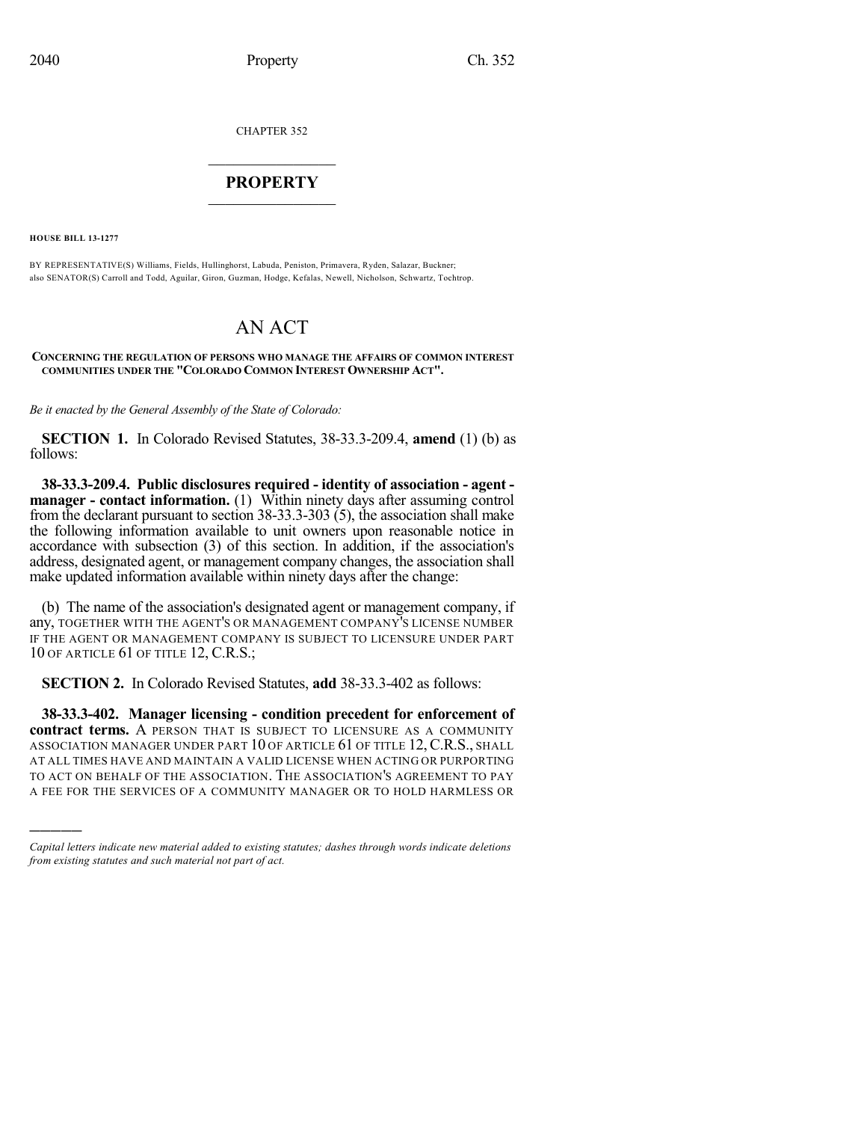CHAPTER 352

# $\mathcal{L}_\text{max}$  . The set of the set of the set of the set of the set of the set of the set of the set of the set of the set of the set of the set of the set of the set of the set of the set of the set of the set of the set **PROPERTY**  $\_$   $\_$   $\_$   $\_$   $\_$   $\_$   $\_$   $\_$   $\_$

**HOUSE BILL 13-1277**

)))))

BY REPRESENTATIVE(S) Williams, Fields, Hullinghorst, Labuda, Peniston, Primavera, Ryden, Salazar, Buckner; also SENATOR(S) Carroll and Todd, Aguilar, Giron, Guzman, Hodge, Kefalas, Newell, Nicholson, Schwartz, Tochtrop.

# AN ACT

#### **CONCERNING THE REGULATION OF PERSONS WHO MANAGE THE AFFAIRS OF COMMON INTEREST COMMUNITIES UNDER THE "COLORADO COMMON INTEREST OWNERSHIP ACT".**

*Be it enacted by the General Assembly of the State of Colorado:*

**SECTION 1.** In Colorado Revised Statutes, 38-33.3-209.4, **amend** (1) (b) as follows:

**38-33.3-209.4. Public disclosures required - identity of association - agent manager - contact information.** (1) Within ninety days after assuming control from the declarant pursuant to section 38-33.3-303 (5), the association shall make the following information available to unit owners upon reasonable notice in accordance with subsection (3) of this section. In addition, if the association's address, designated agent, or management company changes, the association shall make updated information available within ninety days after the change:

(b) The name of the association's designated agent or management company, if any, TOGETHER WITH THE AGENT'S OR MANAGEMENT COMPANY'S LICENSE NUMBER IF THE AGENT OR MANAGEMENT COMPANY IS SUBJECT TO LICENSURE UNDER PART 10 OF ARTICLE 61 OF TITLE 12, C.R.S.;

**SECTION 2.** In Colorado Revised Statutes, **add** 38-33.3-402 as follows:

**38-33.3-402. Manager licensing - condition precedent for enforcement of contract terms.** A PERSON THAT IS SUBJECT TO LICENSURE AS A COMMUNITY ASSOCIATION MANAGER UNDER PART 10 OF ARTICLE 61 OF TITLE 12, C.R.S., SHALL AT ALL TIMES HAVE AND MAINTAIN A VALID LICENSE WHEN ACTING OR PURPORTING TO ACT ON BEHALF OF THE ASSOCIATION. THE ASSOCIATION'S AGREEMENT TO PAY A FEE FOR THE SERVICES OF A COMMUNITY MANAGER OR TO HOLD HARMLESS OR

*Capital letters indicate new material added to existing statutes; dashes through words indicate deletions from existing statutes and such material not part of act.*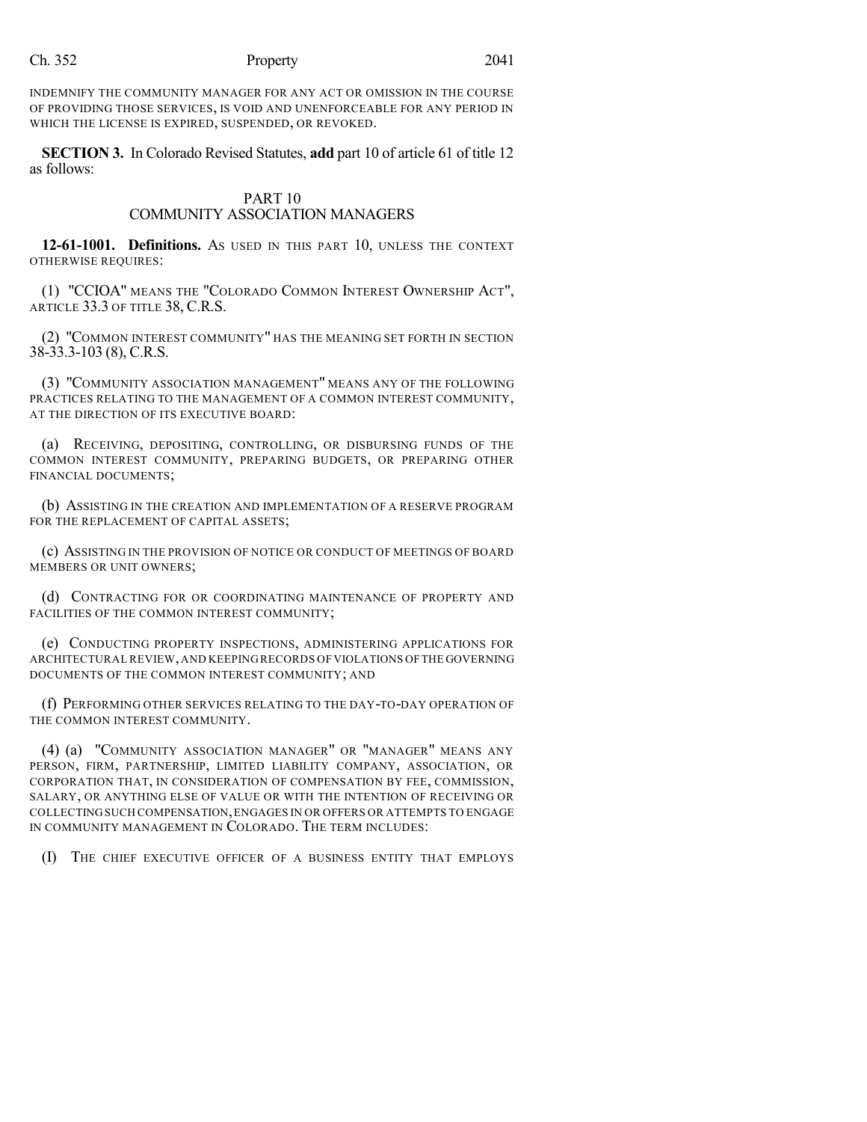INDEMNIFY THE COMMUNITY MANAGER FOR ANY ACT OR OMISSION IN THE COURSE OF PROVIDING THOSE SERVICES, IS VOID AND UNENFORCEABLE FOR ANY PERIOD IN WHICH THE LICENSE IS EXPIRED, SUSPENDED, OR REVOKED.

**SECTION 3.** In Colorado Revised Statutes, **add** part 10 of article 61 of title 12 as follows:

#### PART 10 COMMUNITY ASSOCIATION MANAGERS

**12-61-1001. Definitions.** AS USED IN THIS PART 10, UNLESS THE CONTEXT OTHERWISE REQUIRES:

(1) "CCIOA" MEANS THE "COLORADO COMMON INTEREST OWNERSHIP ACT", ARTICLE 33.3 OF TITLE 38, C.R.S.

(2) "COMMON INTEREST COMMUNITY" HAS THE MEANING SET FORTH IN SECTION 38-33.3-103 (8), C.R.S.

(3) "COMMUNITY ASSOCIATION MANAGEMENT" MEANS ANY OF THE FOLLOWING PRACTICES RELATING TO THE MANAGEMENT OF A COMMON INTEREST COMMUNITY, AT THE DIRECTION OF ITS EXECUTIVE BOARD:

(a) RECEIVING, DEPOSITING, CONTROLLING, OR DISBURSING FUNDS OF THE COMMON INTEREST COMMUNITY, PREPARING BUDGETS, OR PREPARING OTHER FINANCIAL DOCUMENTS;

(b) ASSISTING IN THE CREATION AND IMPLEMENTATION OF A RESERVE PROGRAM FOR THE REPLACEMENT OF CAPITAL ASSETS;

(c) ASSISTING IN THE PROVISION OF NOTICE OR CONDUCT OF MEETINGS OF BOARD MEMBERS OR UNIT OWNERS;

(d) CONTRACTING FOR OR COORDINATING MAINTENANCE OF PROPERTY AND FACILITIES OF THE COMMON INTEREST COMMUNITY;

(e) CONDUCTING PROPERTY INSPECTIONS, ADMINISTERING APPLICATIONS FOR ARCHITECTURAL REVIEW,AND KEEPING RECORDS OFVIOLATIONS OFTHE GOVERNING DOCUMENTS OF THE COMMON INTEREST COMMUNITY; AND

(f) PERFORMING OTHER SERVICES RELATING TO THE DAY-TO-DAY OPERATION OF THE COMMON INTEREST COMMUNITY.

(4) (a) "COMMUNITY ASSOCIATION MANAGER" OR "MANAGER" MEANS ANY PERSON, FIRM, PARTNERSHIP, LIMITED LIABILITY COMPANY, ASSOCIATION, OR CORPORATION THAT, IN CONSIDERATION OF COMPENSATION BY FEE, COMMISSION, SALARY, OR ANYTHING ELSE OF VALUE OR WITH THE INTENTION OF RECEIVING OR COLLECTINGSUCH COMPENSATION,ENGAGES IN OR OFFERS OR ATTEMPTS TO ENGAGE IN COMMUNITY MANAGEMENT IN COLORADO. THE TERM INCLUDES:

(I) THE CHIEF EXECUTIVE OFFICER OF A BUSINESS ENTITY THAT EMPLOYS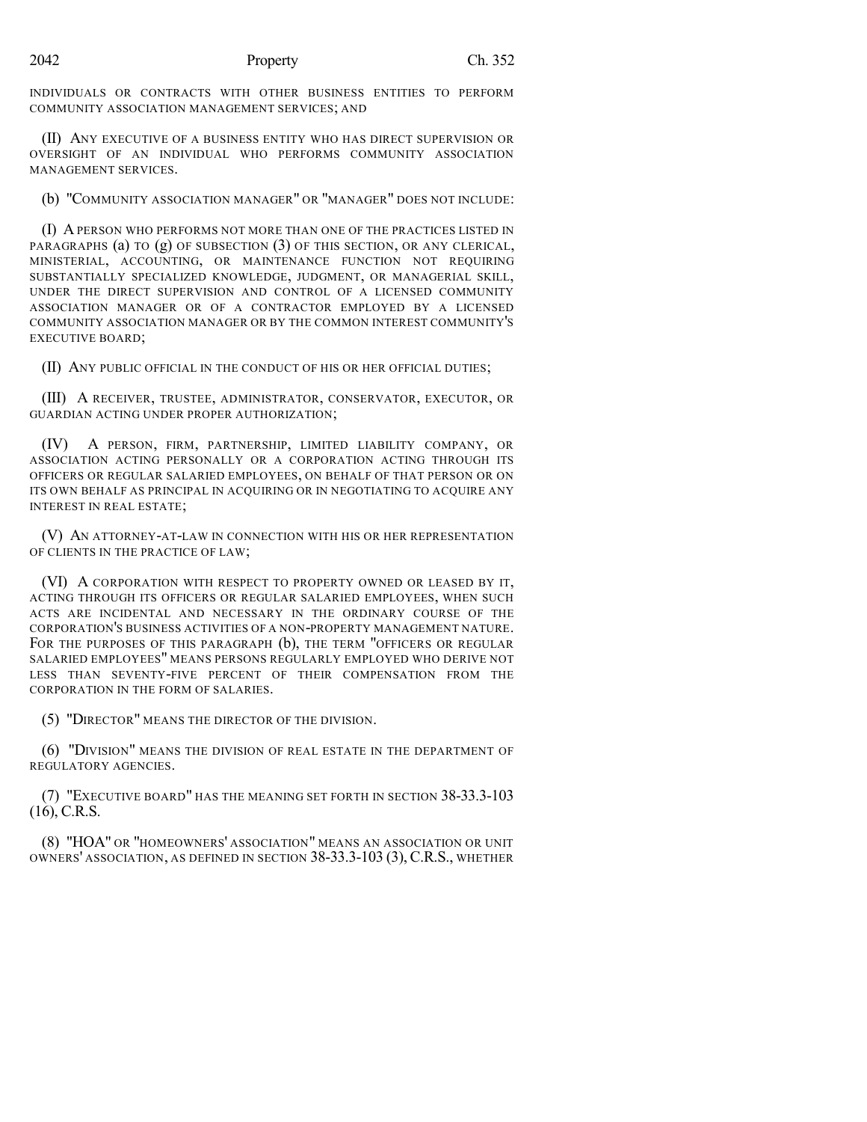INDIVIDUALS OR CONTRACTS WITH OTHER BUSINESS ENTITIES TO PERFORM COMMUNITY ASSOCIATION MANAGEMENT SERVICES; AND

(II) ANY EXECUTIVE OF A BUSINESS ENTITY WHO HAS DIRECT SUPERVISION OR OVERSIGHT OF AN INDIVIDUAL WHO PERFORMS COMMUNITY ASSOCIATION MANAGEMENT SERVICES.

(b) "COMMUNITY ASSOCIATION MANAGER" OR "MANAGER" DOES NOT INCLUDE:

(I) A PERSON WHO PERFORMS NOT MORE THAN ONE OF THE PRACTICES LISTED IN PARAGRAPHS (a) TO  $(g)$  OF SUBSECTION  $(3)$  OF THIS SECTION, OR ANY CLERICAL, MINISTERIAL, ACCOUNTING, OR MAINTENANCE FUNCTION NOT REQUIRING SUBSTANTIALLY SPECIALIZED KNOWLEDGE, JUDGMENT, OR MANAGERIAL SKILL, UNDER THE DIRECT SUPERVISION AND CONTROL OF A LICENSED COMMUNITY ASSOCIATION MANAGER OR OF A CONTRACTOR EMPLOYED BY A LICENSED COMMUNITY ASSOCIATION MANAGER OR BY THE COMMON INTEREST COMMUNITY'S EXECUTIVE BOARD;

(II) ANY PUBLIC OFFICIAL IN THE CONDUCT OF HIS OR HER OFFICIAL DUTIES;

(III) A RECEIVER, TRUSTEE, ADMINISTRATOR, CONSERVATOR, EXECUTOR, OR GUARDIAN ACTING UNDER PROPER AUTHORIZATION;

(IV) A PERSON, FIRM, PARTNERSHIP, LIMITED LIABILITY COMPANY, OR ASSOCIATION ACTING PERSONALLY OR A CORPORATION ACTING THROUGH ITS OFFICERS OR REGULAR SALARIED EMPLOYEES, ON BEHALF OF THAT PERSON OR ON ITS OWN BEHALF AS PRINCIPAL IN ACQUIRING OR IN NEGOTIATING TO ACQUIRE ANY INTEREST IN REAL ESTATE;

(V) AN ATTORNEY-AT-LAW IN CONNECTION WITH HIS OR HER REPRESENTATION OF CLIENTS IN THE PRACTICE OF LAW;

(VI) A CORPORATION WITH RESPECT TO PROPERTY OWNED OR LEASED BY IT, ACTING THROUGH ITS OFFICERS OR REGULAR SALARIED EMPLOYEES, WHEN SUCH ACTS ARE INCIDENTAL AND NECESSARY IN THE ORDINARY COURSE OF THE CORPORATION'S BUSINESS ACTIVITIES OF A NON-PROPERTY MANAGEMENT NATURE. FOR THE PURPOSES OF THIS PARAGRAPH (b), THE TERM "OFFICERS OR REGULAR SALARIED EMPLOYEES" MEANS PERSONS REGULARLY EMPLOYED WHO DERIVE NOT LESS THAN SEVENTY-FIVE PERCENT OF THEIR COMPENSATION FROM THE CORPORATION IN THE FORM OF SALARIES.

(5) "DIRECTOR" MEANS THE DIRECTOR OF THE DIVISION.

(6) "DIVISION" MEANS THE DIVISION OF REAL ESTATE IN THE DEPARTMENT OF REGULATORY AGENCIES.

(7) "EXECUTIVE BOARD" HAS THE MEANING SET FORTH IN SECTION 38-33.3-103 (16), C.R.S.

(8) "HOA" OR "HOMEOWNERS' ASSOCIATION" MEANS AN ASSOCIATION OR UNIT OWNERS' ASSOCIATION, AS DEFINED IN SECTION 38-33.3-103 (3),C.R.S., WHETHER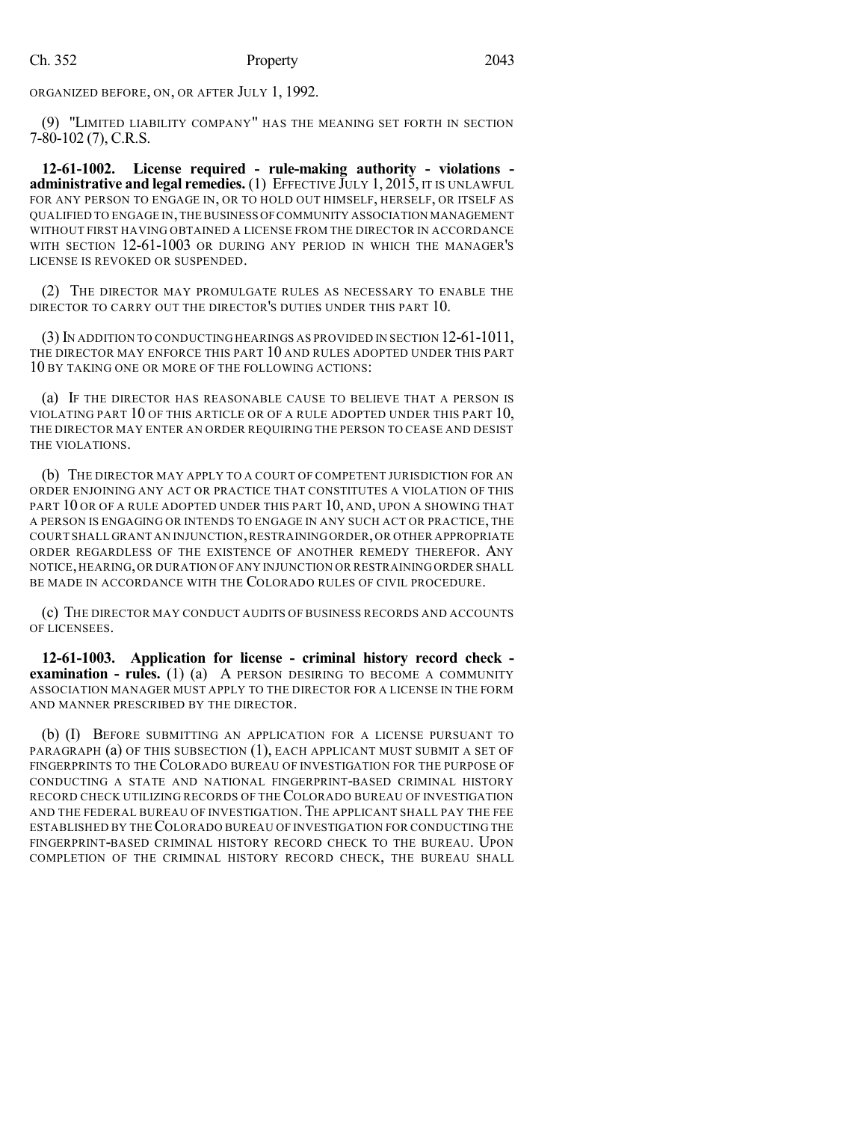ORGANIZED BEFORE, ON, OR AFTER JULY 1, 1992.

(9) "LIMITED LIABILITY COMPANY" HAS THE MEANING SET FORTH IN SECTION 7-80-102 (7), C.R.S.

**12-61-1002. License required - rule-making authority - violations administrative and legal remedies.** (1) EFFECTIVE JULY 1, 2015, IT IS UNLAWFUL FOR ANY PERSON TO ENGAGE IN, OR TO HOLD OUT HIMSELF, HERSELF, OR ITSELF AS QUALIFIED TO ENGAGE IN,THE BUSINESS OFCOMMUNITY ASSOCIATION MANAGEMENT WITHOUT FIRST HAVING OBTAINED A LICENSE FROM THE DIRECTOR IN ACCORDANCE WITH SECTION 12-61-1003 OR DURING ANY PERIOD IN WHICH THE MANAGER'S LICENSE IS REVOKED OR SUSPENDED.

(2) THE DIRECTOR MAY PROMULGATE RULES AS NECESSARY TO ENABLE THE DIRECTOR TO CARRY OUT THE DIRECTOR'S DUTIES UNDER THIS PART 10.

(3) IN ADDITION TO CONDUCTING HEARINGS AS PROVIDED IN SECTION 12-61-1011, THE DIRECTOR MAY ENFORCE THIS PART 10 AND RULES ADOPTED UNDER THIS PART 10 BY TAKING ONE OR MORE OF THE FOLLOWING ACTIONS:

(a) IF THE DIRECTOR HAS REASONABLE CAUSE TO BELIEVE THAT A PERSON IS VIOLATING PART 10 OF THIS ARTICLE OR OF A RULE ADOPTED UNDER THIS PART 10, THE DIRECTOR MAY ENTER AN ORDER REQUIRING THE PERSON TO CEASE AND DESIST THE VIOLATIONS.

(b) THE DIRECTOR MAY APPLY TO A COURT OF COMPETENT JURISDICTION FOR AN ORDER ENJOINING ANY ACT OR PRACTICE THAT CONSTITUTES A VIOLATION OF THIS PART 10 OR OF A RULE ADOPTED UNDER THIS PART 10, AND, UPON A SHOWING THAT A PERSON IS ENGAGING OR INTENDS TO ENGAGE IN ANY SUCH ACT OR PRACTICE, THE COURT SHALL GRANT AN INJUNCTION,RESTRAININGORDER,OR OTHER APPROPRIATE ORDER REGARDLESS OF THE EXISTENCE OF ANOTHER REMEDY THEREFOR. ANY NOTICE,HEARING,OR DURATION OF ANY INJUNCTION OR RESTRAINING ORDER SHALL BE MADE IN ACCORDANCE WITH THE COLORADO RULES OF CIVIL PROCEDURE.

(c) THE DIRECTOR MAY CONDUCT AUDITS OF BUSINESS RECORDS AND ACCOUNTS OF LICENSEES.

**12-61-1003. Application for license - criminal history record check examination - rules.** (1) (a) A PERSON DESIRING TO BECOME A COMMUNITY ASSOCIATION MANAGER MUST APPLY TO THE DIRECTOR FOR A LICENSE IN THE FORM AND MANNER PRESCRIBED BY THE DIRECTOR.

(b) (I) BEFORE SUBMITTING AN APPLICATION FOR A LICENSE PURSUANT TO PARAGRAPH (a) OF THIS SUBSECTION (1), EACH APPLICANT MUST SUBMIT A SET OF FINGERPRINTS TO THE COLORADO BUREAU OF INVESTIGATION FOR THE PURPOSE OF CONDUCTING A STATE AND NATIONAL FINGERPRINT-BASED CRIMINAL HISTORY RECORD CHECK UTILIZING RECORDS OF THE COLORADO BUREAU OF INVESTIGATION AND THE FEDERAL BUREAU OF INVESTIGATION. THE APPLICANT SHALL PAY THE FEE ESTABLISHED BY THECOLORADO BUREAU OF INVESTIGATION FOR CONDUCTING THE FINGERPRINT-BASED CRIMINAL HISTORY RECORD CHECK TO THE BUREAU. UPON COMPLETION OF THE CRIMINAL HISTORY RECORD CHECK, THE BUREAU SHALL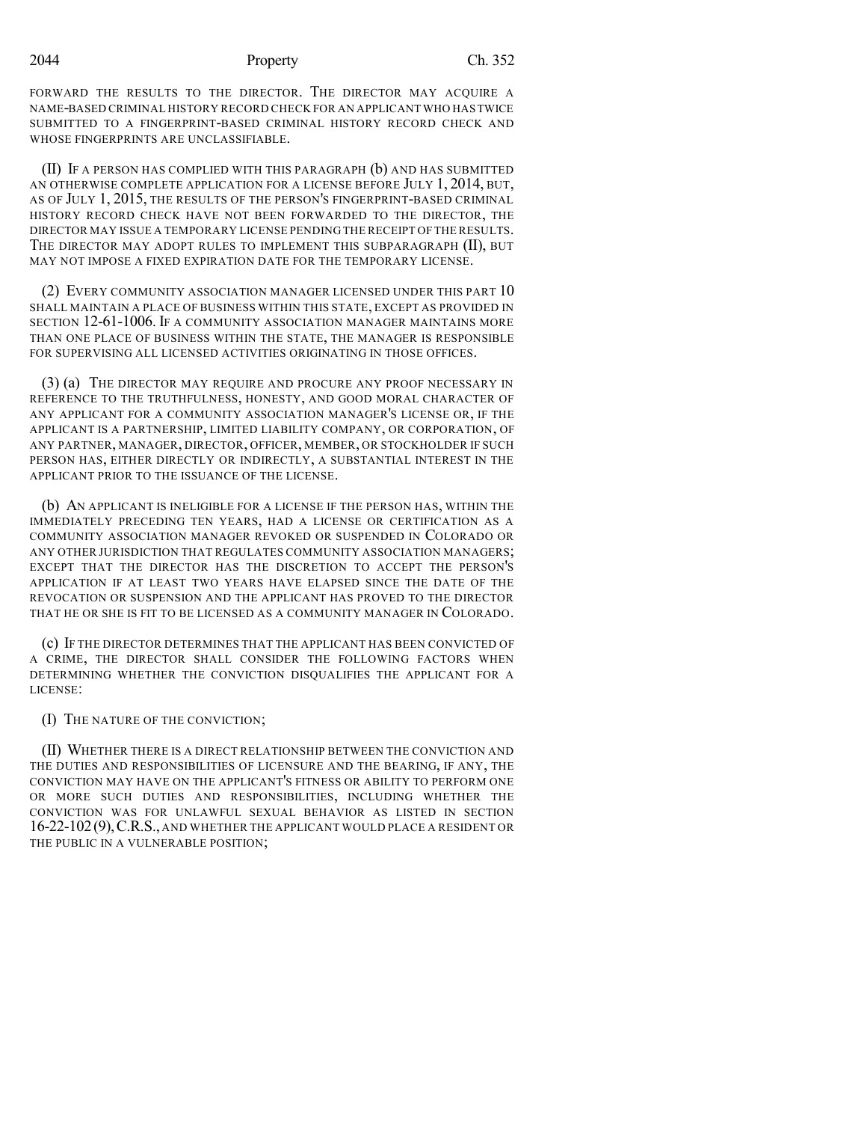FORWARD THE RESULTS TO THE DIRECTOR. THE DIRECTOR MAY ACQUIRE A NAME-BASED CRIMINAL HISTORY RECORD CHECK FOR AN APPLICANT WHO HASTWICE SUBMITTED TO A FINGERPRINT-BASED CRIMINAL HISTORY RECORD CHECK AND WHOSE FINGERPRINTS ARE UNCLASSIFIABLE.

(II) IF A PERSON HAS COMPLIED WITH THIS PARAGRAPH (b) AND HAS SUBMITTED AN OTHERWISE COMPLETE APPLICATION FOR A LICENSE BEFORE JULY 1, 2014, BUT, AS OF JULY 1, 2015, THE RESULTS OF THE PERSON'S FINGERPRINT-BASED CRIMINAL HISTORY RECORD CHECK HAVE NOT BEEN FORWARDED TO THE DIRECTOR, THE DIRECTOR MAY ISSUE A TEMPORARY LICENSE PENDING THE RECEIPT OF THE RESULTS. THE DIRECTOR MAY ADOPT RULES TO IMPLEMENT THIS SUBPARAGRAPH (II), BUT MAY NOT IMPOSE A FIXED EXPIRATION DATE FOR THE TEMPORARY LICENSE.

(2) EVERY COMMUNITY ASSOCIATION MANAGER LICENSED UNDER THIS PART 10 SHALL MAINTAIN A PLACE OF BUSINESS WITHIN THIS STATE, EXCEPT AS PROVIDED IN SECTION 12-61-1006. IF A COMMUNITY ASSOCIATION MANAGER MAINTAINS MORE THAN ONE PLACE OF BUSINESS WITHIN THE STATE, THE MANAGER IS RESPONSIBLE FOR SUPERVISING ALL LICENSED ACTIVITIES ORIGINATING IN THOSE OFFICES.

(3) (a) THE DIRECTOR MAY REQUIRE AND PROCURE ANY PROOF NECESSARY IN REFERENCE TO THE TRUTHFULNESS, HONESTY, AND GOOD MORAL CHARACTER OF ANY APPLICANT FOR A COMMUNITY ASSOCIATION MANAGER'S LICENSE OR, IF THE APPLICANT IS A PARTNERSHIP, LIMITED LIABILITY COMPANY, OR CORPORATION, OF ANY PARTNER, MANAGER, DIRECTOR, OFFICER, MEMBER, OR STOCKHOLDER IF SUCH PERSON HAS, EITHER DIRECTLY OR INDIRECTLY, A SUBSTANTIAL INTEREST IN THE APPLICANT PRIOR TO THE ISSUANCE OF THE LICENSE.

(b) AN APPLICANT IS INELIGIBLE FOR A LICENSE IF THE PERSON HAS, WITHIN THE IMMEDIATELY PRECEDING TEN YEARS, HAD A LICENSE OR CERTIFICATION AS A COMMUNITY ASSOCIATION MANAGER REVOKED OR SUSPENDED IN COLORADO OR ANY OTHER JURISDICTION THAT REGULATES COMMUNITY ASSOCIATION MANAGERS; EXCEPT THAT THE DIRECTOR HAS THE DISCRETION TO ACCEPT THE PERSON'S APPLICATION IF AT LEAST TWO YEARS HAVE ELAPSED SINCE THE DATE OF THE REVOCATION OR SUSPENSION AND THE APPLICANT HAS PROVED TO THE DIRECTOR THAT HE OR SHE IS FIT TO BE LICENSED AS A COMMUNITY MANAGER IN COLORADO.

(c) IF THE DIRECTOR DETERMINES THAT THE APPLICANT HAS BEEN CONVICTED OF A CRIME, THE DIRECTOR SHALL CONSIDER THE FOLLOWING FACTORS WHEN DETERMINING WHETHER THE CONVICTION DISQUALIFIES THE APPLICANT FOR A LICENSE:

(I) THE NATURE OF THE CONVICTION;

(II) WHETHER THERE IS A DIRECT RELATIONSHIP BETWEEN THE CONVICTION AND THE DUTIES AND RESPONSIBILITIES OF LICENSURE AND THE BEARING, IF ANY, THE CONVICTION MAY HAVE ON THE APPLICANT'S FITNESS OR ABILITY TO PERFORM ONE OR MORE SUCH DUTIES AND RESPONSIBILITIES, INCLUDING WHETHER THE CONVICTION WAS FOR UNLAWFUL SEXUAL BEHAVIOR AS LISTED IN SECTION 16-22-102(9),C.R.S., AND WHETHER THE APPLICANT WOULD PLACE A RESIDENT OR THE PUBLIC IN A VULNERABLE POSITION;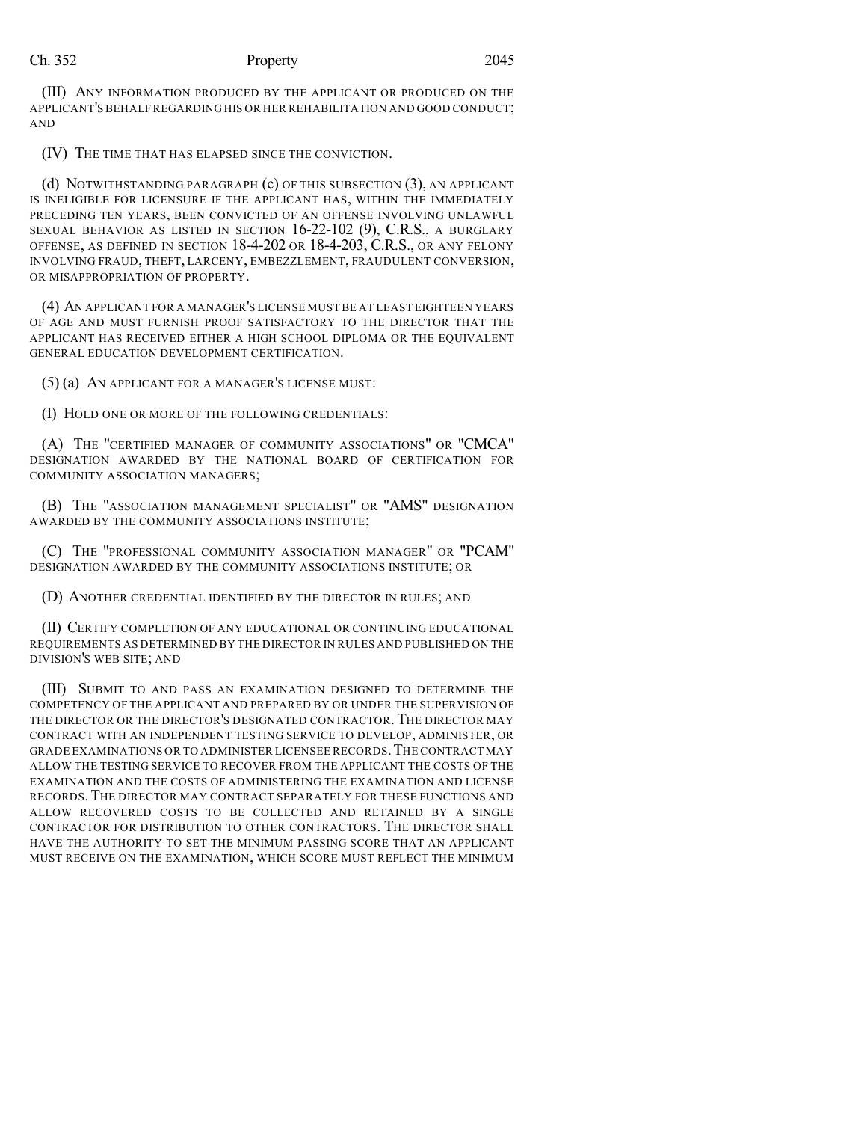(III) ANY INFORMATION PRODUCED BY THE APPLICANT OR PRODUCED ON THE APPLICANT'S BEHALF REGARDING HIS OR HER REHABILITATION AND GOOD CONDUCT; AND

(IV) THE TIME THAT HAS ELAPSED SINCE THE CONVICTION.

(d) NOTWITHSTANDING PARAGRAPH (c) OF THIS SUBSECTION (3), AN APPLICANT IS INELIGIBLE FOR LICENSURE IF THE APPLICANT HAS, WITHIN THE IMMEDIATELY PRECEDING TEN YEARS, BEEN CONVICTED OF AN OFFENSE INVOLVING UNLAWFUL SEXUAL BEHAVIOR AS LISTED IN SECTION 16-22-102 (9), C.R.S., A BURGLARY OFFENSE, AS DEFINED IN SECTION 18-4-202 OR 18-4-203, C.R.S., OR ANY FELONY INVOLVING FRAUD, THEFT, LARCENY, EMBEZZLEMENT, FRAUDULENT CONVERSION, OR MISAPPROPRIATION OF PROPERTY.

(4) AN APPLICANT FOR A MANAGER'S LICENSE MUSTBE AT LEAST EIGHTEEN YEARS OF AGE AND MUST FURNISH PROOF SATISFACTORY TO THE DIRECTOR THAT THE APPLICANT HAS RECEIVED EITHER A HIGH SCHOOL DIPLOMA OR THE EQUIVALENT GENERAL EDUCATION DEVELOPMENT CERTIFICATION.

(5) (a) AN APPLICANT FOR A MANAGER'S LICENSE MUST:

(I) HOLD ONE OR MORE OF THE FOLLOWING CREDENTIALS:

(A) THE "CERTIFIED MANAGER OF COMMUNITY ASSOCIATIONS" OR "CMCA" DESIGNATION AWARDED BY THE NATIONAL BOARD OF CERTIFICATION FOR COMMUNITY ASSOCIATION MANAGERS;

(B) THE "ASSOCIATION MANAGEMENT SPECIALIST" OR "AMS" DESIGNATION AWARDED BY THE COMMUNITY ASSOCIATIONS INSTITUTE;

(C) THE "PROFESSIONAL COMMUNITY ASSOCIATION MANAGER" OR "PCAM" DESIGNATION AWARDED BY THE COMMUNITY ASSOCIATIONS INSTITUTE; OR

(D) ANOTHER CREDENTIAL IDENTIFIED BY THE DIRECTOR IN RULES; AND

(II) CERTIFY COMPLETION OF ANY EDUCATIONAL OR CONTINUING EDUCATIONAL REQUIREMENTS AS DETERMINED BY THE DIRECTOR IN RULES AND PUBLISHED ON THE DIVISION'S WEB SITE; AND

(III) SUBMIT TO AND PASS AN EXAMINATION DESIGNED TO DETERMINE THE COMPETENCY OF THE APPLICANT AND PREPARED BY OR UNDER THE SUPERVISION OF THE DIRECTOR OR THE DIRECTOR'S DESIGNATED CONTRACTOR. THE DIRECTOR MAY CONTRACT WITH AN INDEPENDENT TESTING SERVICE TO DEVELOP, ADMINISTER, OR GRADE EXAMINATIONS OR TO ADMINISTER LICENSEE RECORDS.THE CONTRACT MAY ALLOW THE TESTING SERVICE TO RECOVER FROM THE APPLICANT THE COSTS OF THE EXAMINATION AND THE COSTS OF ADMINISTERING THE EXAMINATION AND LICENSE RECORDS.THE DIRECTOR MAY CONTRACT SEPARATELY FOR THESE FUNCTIONS AND ALLOW RECOVERED COSTS TO BE COLLECTED AND RETAINED BY A SINGLE CONTRACTOR FOR DISTRIBUTION TO OTHER CONTRACTORS. THE DIRECTOR SHALL HAVE THE AUTHORITY TO SET THE MINIMUM PASSING SCORE THAT AN APPLICANT MUST RECEIVE ON THE EXAMINATION, WHICH SCORE MUST REFLECT THE MINIMUM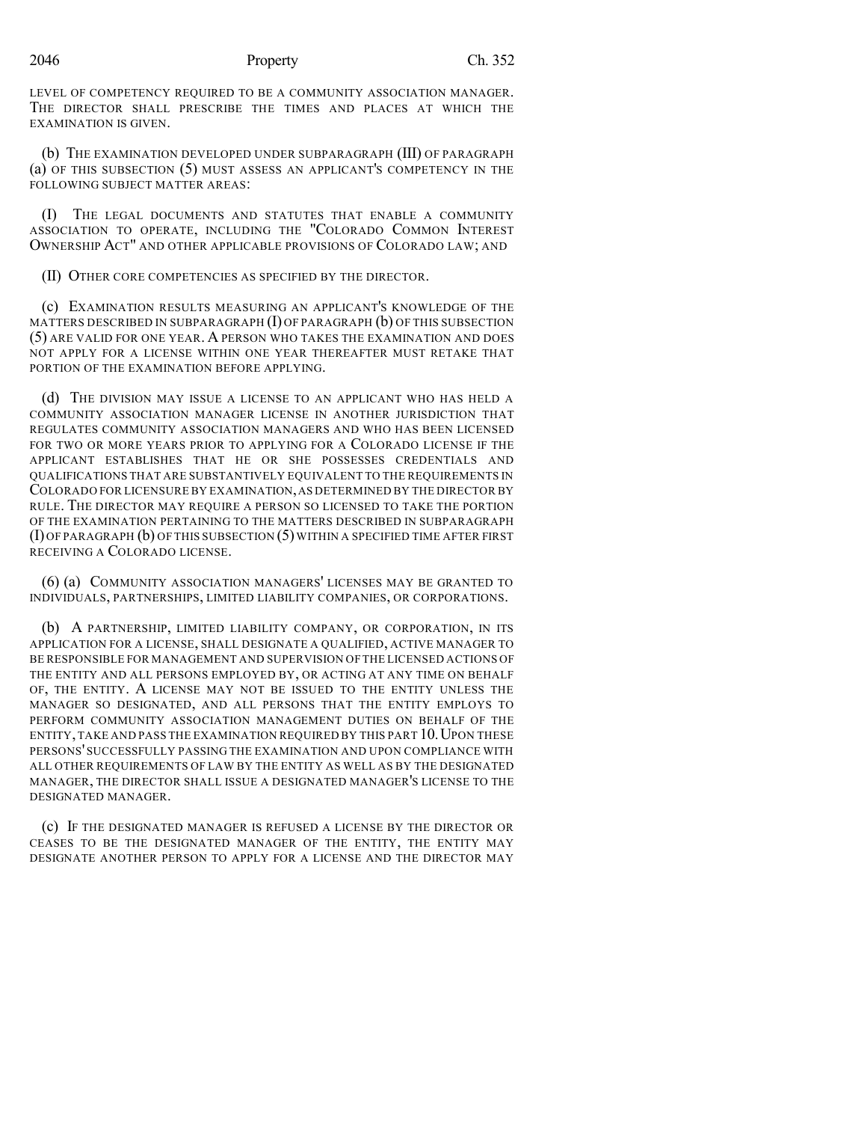### 2046 Property Ch. 352

LEVEL OF COMPETENCY REQUIRED TO BE A COMMUNITY ASSOCIATION MANAGER. THE DIRECTOR SHALL PRESCRIBE THE TIMES AND PLACES AT WHICH THE EXAMINATION IS GIVEN.

(b) THE EXAMINATION DEVELOPED UNDER SUBPARAGRAPH (III) OF PARAGRAPH (a) OF THIS SUBSECTION (5) MUST ASSESS AN APPLICANT'S COMPETENCY IN THE FOLLOWING SUBJECT MATTER AREAS:

(I) THE LEGAL DOCUMENTS AND STATUTES THAT ENABLE A COMMUNITY ASSOCIATION TO OPERATE, INCLUDING THE "COLORADO COMMON INTEREST OWNERSHIP ACT" AND OTHER APPLICABLE PROVISIONS OF COLORADO LAW; AND

(II) OTHER CORE COMPETENCIES AS SPECIFIED BY THE DIRECTOR.

(c) EXAMINATION RESULTS MEASURING AN APPLICANT'S KNOWLEDGE OF THE MATTERS DESCRIBED IN SUBPARAGRAPH  $(I)$  OF PARAGRAPH  $(b)$  OF THIS SUBSECTION (5) ARE VALID FOR ONE YEAR. A PERSON WHO TAKES THE EXAMINATION AND DOES NOT APPLY FOR A LICENSE WITHIN ONE YEAR THEREAFTER MUST RETAKE THAT PORTION OF THE EXAMINATION BEFORE APPLYING.

(d) THE DIVISION MAY ISSUE A LICENSE TO AN APPLICANT WHO HAS HELD A COMMUNITY ASSOCIATION MANAGER LICENSE IN ANOTHER JURISDICTION THAT REGULATES COMMUNITY ASSOCIATION MANAGERS AND WHO HAS BEEN LICENSED FOR TWO OR MORE YEARS PRIOR TO APPLYING FOR A COLORADO LICENSE IF THE APPLICANT ESTABLISHES THAT HE OR SHE POSSESSES CREDENTIALS AND QUALIFICATIONS THAT ARE SUBSTANTIVELY EQUIVALENT TO THE REQUIREMENTS IN COLORADO FOR LICENSURE BY EXAMINATION,AS DETERMINED BY THE DIRECTOR BY RULE. THE DIRECTOR MAY REQUIRE A PERSON SO LICENSED TO TAKE THE PORTION OF THE EXAMINATION PERTAINING TO THE MATTERS DESCRIBED IN SUBPARAGRAPH (I) OF PARAGRAPH (b) OF THIS SUBSECTION (5) WITHIN A SPECIFIED TIME AFTER FIRST RECEIVING A COLORADO LICENSE.

(6) (a) COMMUNITY ASSOCIATION MANAGERS' LICENSES MAY BE GRANTED TO INDIVIDUALS, PARTNERSHIPS, LIMITED LIABILITY COMPANIES, OR CORPORATIONS.

(b) A PARTNERSHIP, LIMITED LIABILITY COMPANY, OR CORPORATION, IN ITS APPLICATION FOR A LICENSE, SHALL DESIGNATE A QUALIFIED, ACTIVE MANAGER TO BE RESPONSIBLE FOR MANAGEMENT AND SUPERVISION OF THE LICENSED ACTIONS OF THE ENTITY AND ALL PERSONS EMPLOYED BY, OR ACTING AT ANY TIME ON BEHALF OF, THE ENTITY. A LICENSE MAY NOT BE ISSUED TO THE ENTITY UNLESS THE MANAGER SO DESIGNATED, AND ALL PERSONS THAT THE ENTITY EMPLOYS TO PERFORM COMMUNITY ASSOCIATION MANAGEMENT DUTIES ON BEHALF OF THE ENTITY, TAKE AND PASS THE EXAMINATION REQUIRED BY THIS PART 10. UPON THESE PERSONS' SUCCESSFULLY PASSING THE EXAMINATION AND UPON COMPLIANCE WITH ALL OTHER REQUIREMENTS OF LAW BY THE ENTITY AS WELL AS BY THE DESIGNATED MANAGER, THE DIRECTOR SHALL ISSUE A DESIGNATED MANAGER'S LICENSE TO THE DESIGNATED MANAGER.

(c) IF THE DESIGNATED MANAGER IS REFUSED A LICENSE BY THE DIRECTOR OR CEASES TO BE THE DESIGNATED MANAGER OF THE ENTITY, THE ENTITY MAY DESIGNATE ANOTHER PERSON TO APPLY FOR A LICENSE AND THE DIRECTOR MAY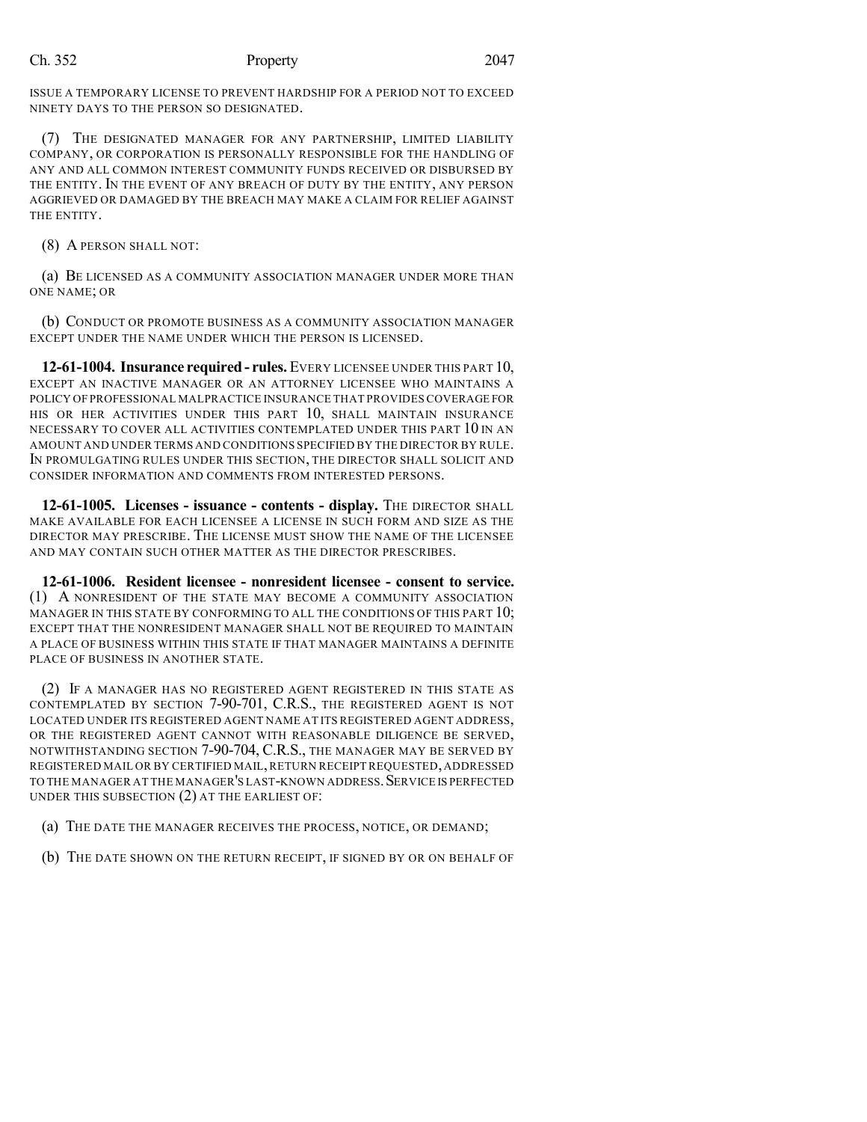ISSUE A TEMPORARY LICENSE TO PREVENT HARDSHIP FOR A PERIOD NOT TO EXCEED NINETY DAYS TO THE PERSON SO DESIGNATED.

(7) THE DESIGNATED MANAGER FOR ANY PARTNERSHIP, LIMITED LIABILITY COMPANY, OR CORPORATION IS PERSONALLY RESPONSIBLE FOR THE HANDLING OF ANY AND ALL COMMON INTEREST COMMUNITY FUNDS RECEIVED OR DISBURSED BY THE ENTITY. IN THE EVENT OF ANY BREACH OF DUTY BY THE ENTITY, ANY PERSON AGGRIEVED OR DAMAGED BY THE BREACH MAY MAKE A CLAIM FOR RELIEF AGAINST THE ENTITY.

(8) A PERSON SHALL NOT:

(a) BE LICENSED AS A COMMUNITY ASSOCIATION MANAGER UNDER MORE THAN ONE NAME; OR

(b) CONDUCT OR PROMOTE BUSINESS AS A COMMUNITY ASSOCIATION MANAGER EXCEPT UNDER THE NAME UNDER WHICH THE PERSON IS LICENSED.

**12-61-1004. Insurance required- rules.** EVERY LICENSEE UNDER THIS PART 10, EXCEPT AN INACTIVE MANAGER OR AN ATTORNEY LICENSEE WHO MAINTAINS A POLICY OF PROFESSIONAL MALPRACTICE INSURANCE THAT PROVIDES COVERAGE FOR HIS OR HER ACTIVITIES UNDER THIS PART 10, SHALL MAINTAIN INSURANCE NECESSARY TO COVER ALL ACTIVITIES CONTEMPLATED UNDER THIS PART 10 IN AN AMOUNT AND UNDER TERMS AND CONDITIONS SPECIFIED BY THE DIRECTOR BY RULE. IN PROMULGATING RULES UNDER THIS SECTION, THE DIRECTOR SHALL SOLICIT AND CONSIDER INFORMATION AND COMMENTS FROM INTERESTED PERSONS.

**12-61-1005. Licenses - issuance - contents - display.** THE DIRECTOR SHALL MAKE AVAILABLE FOR EACH LICENSEE A LICENSE IN SUCH FORM AND SIZE AS THE DIRECTOR MAY PRESCRIBE. THE LICENSE MUST SHOW THE NAME OF THE LICENSEE AND MAY CONTAIN SUCH OTHER MATTER AS THE DIRECTOR PRESCRIBES.

**12-61-1006. Resident licensee - nonresident licensee - consent to service.** (1) A NONRESIDENT OF THE STATE MAY BECOME A COMMUNITY ASSOCIATION MANAGER IN THIS STATE BY CONFORMING TO ALL THE CONDITIONS OF THIS PART 10; EXCEPT THAT THE NONRESIDENT MANAGER SHALL NOT BE REQUIRED TO MAINTAIN A PLACE OF BUSINESS WITHIN THIS STATE IF THAT MANAGER MAINTAINS A DEFINITE PLACE OF BUSINESS IN ANOTHER STATE.

(2) IF A MANAGER HAS NO REGISTERED AGENT REGISTERED IN THIS STATE AS CONTEMPLATED BY SECTION 7-90-701, C.R.S., THE REGISTERED AGENT IS NOT LOCATED UNDER ITS REGISTERED AGENT NAME AT ITS REGISTERED AGENT ADDRESS, OR THE REGISTERED AGENT CANNOT WITH REASONABLE DILIGENCE BE SERVED, NOTWITHSTANDING SECTION 7-90-704, C.R.S., THE MANAGER MAY BE SERVED BY REGISTERED MAIL OR BY CERTIFIED MAIL,RETURN RECEIPT REQUESTED,ADDRESSED TO THE MANAGER AT THE MANAGER'S LAST-KNOWN ADDRESS. SERVICE IS PERFECTED UNDER THIS SUBSECTION (2) AT THE EARLIEST OF:

- (a) THE DATE THE MANAGER RECEIVES THE PROCESS, NOTICE, OR DEMAND;
- (b) THE DATE SHOWN ON THE RETURN RECEIPT, IF SIGNED BY OR ON BEHALF OF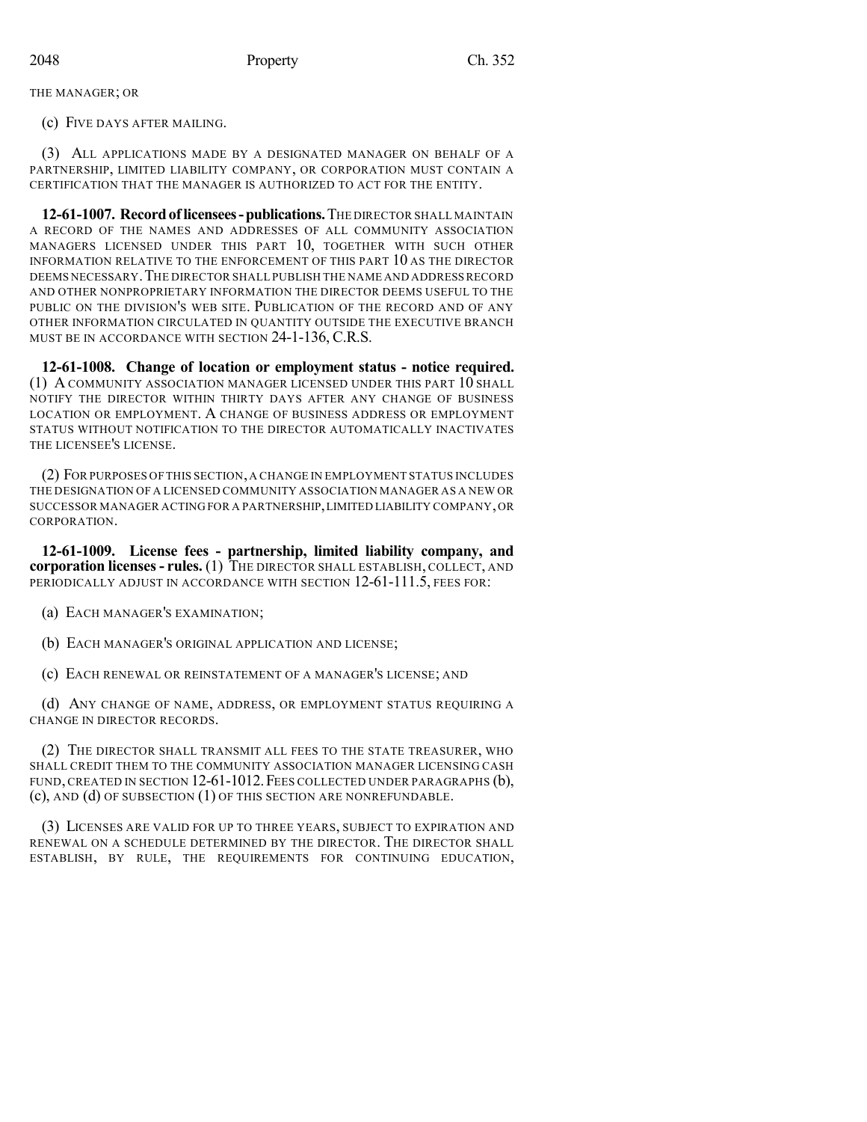THE MANAGER; OR

(c) FIVE DAYS AFTER MAILING.

(3) ALL APPLICATIONS MADE BY A DESIGNATED MANAGER ON BEHALF OF A PARTNERSHIP, LIMITED LIABILITY COMPANY, OR CORPORATION MUST CONTAIN A CERTIFICATION THAT THE MANAGER IS AUTHORIZED TO ACT FOR THE ENTITY.

**12-61-1007. Recordoflicensees-publications.**THE DIRECTOR SHALL MAINTAIN A RECORD OF THE NAMES AND ADDRESSES OF ALL COMMUNITY ASSOCIATION MANAGERS LICENSED UNDER THIS PART 10, TOGETHER WITH SUCH OTHER INFORMATION RELATIVE TO THE ENFORCEMENT OF THIS PART 10 AS THE DIRECTOR DEEMS NECESSARY.THE DIRECTOR SHALL PUBLISH THE NAME AND ADDRESSRECORD AND OTHER NONPROPRIETARY INFORMATION THE DIRECTOR DEEMS USEFUL TO THE PUBLIC ON THE DIVISION'S WEB SITE. PUBLICATION OF THE RECORD AND OF ANY OTHER INFORMATION CIRCULATED IN QUANTITY OUTSIDE THE EXECUTIVE BRANCH MUST BE IN ACCORDANCE WITH SECTION 24-1-136, C.R.S.

**12-61-1008. Change of location or employment status - notice required.** (1) A COMMUNITY ASSOCIATION MANAGER LICENSED UNDER THIS PART  $10$  shall NOTIFY THE DIRECTOR WITHIN THIRTY DAYS AFTER ANY CHANGE OF BUSINESS LOCATION OR EMPLOYMENT. A CHANGE OF BUSINESS ADDRESS OR EMPLOYMENT STATUS WITHOUT NOTIFICATION TO THE DIRECTOR AUTOMATICALLY INACTIVATES THE LICENSEE'S LICENSE.

(2) FOR PURPOSES OF THIS SECTION,A CHANGE IN EMPLOYMENT STATUS INCLUDES THE DESIGNATION OF A LICENSED COMMUNITY ASSOCIATION MANAGER AS A NEW OR SUCCESSOR MANAGER ACTING FOR A PARTNERSHIP,LIMITED LIABILITY COMPANY,OR CORPORATION.

**12-61-1009. License fees - partnership, limited liability company, and corporation licenses- rules.** (1) THE DIRECTOR SHALL ESTABLISH, COLLECT, AND PERIODICALLY ADJUST IN ACCORDANCE WITH SECTION 12-61-111.5, FEES FOR:

(a) EACH MANAGER'S EXAMINATION;

(b) EACH MANAGER'S ORIGINAL APPLICATION AND LICENSE;

(c) EACH RENEWAL OR REINSTATEMENT OF A MANAGER'S LICENSE; AND

(d) ANY CHANGE OF NAME, ADDRESS, OR EMPLOYMENT STATUS REQUIRING A CHANGE IN DIRECTOR RECORDS.

(2) THE DIRECTOR SHALL TRANSMIT ALL FEES TO THE STATE TREASURER, WHO SHALL CREDIT THEM TO THE COMMUNITY ASSOCIATION MANAGER LICENSING CASH FUND, CREATED IN SECTION 12-61-1012. FEES COLLECTED UNDER PARAGRAPHS (b), (c), AND (d) OF SUBSECTION (1) OF THIS SECTION ARE NONREFUNDABLE.

(3) LICENSES ARE VALID FOR UP TO THREE YEARS, SUBJECT TO EXPIRATION AND RENEWAL ON A SCHEDULE DETERMINED BY THE DIRECTOR. THE DIRECTOR SHALL ESTABLISH, BY RULE, THE REQUIREMENTS FOR CONTINUING EDUCATION,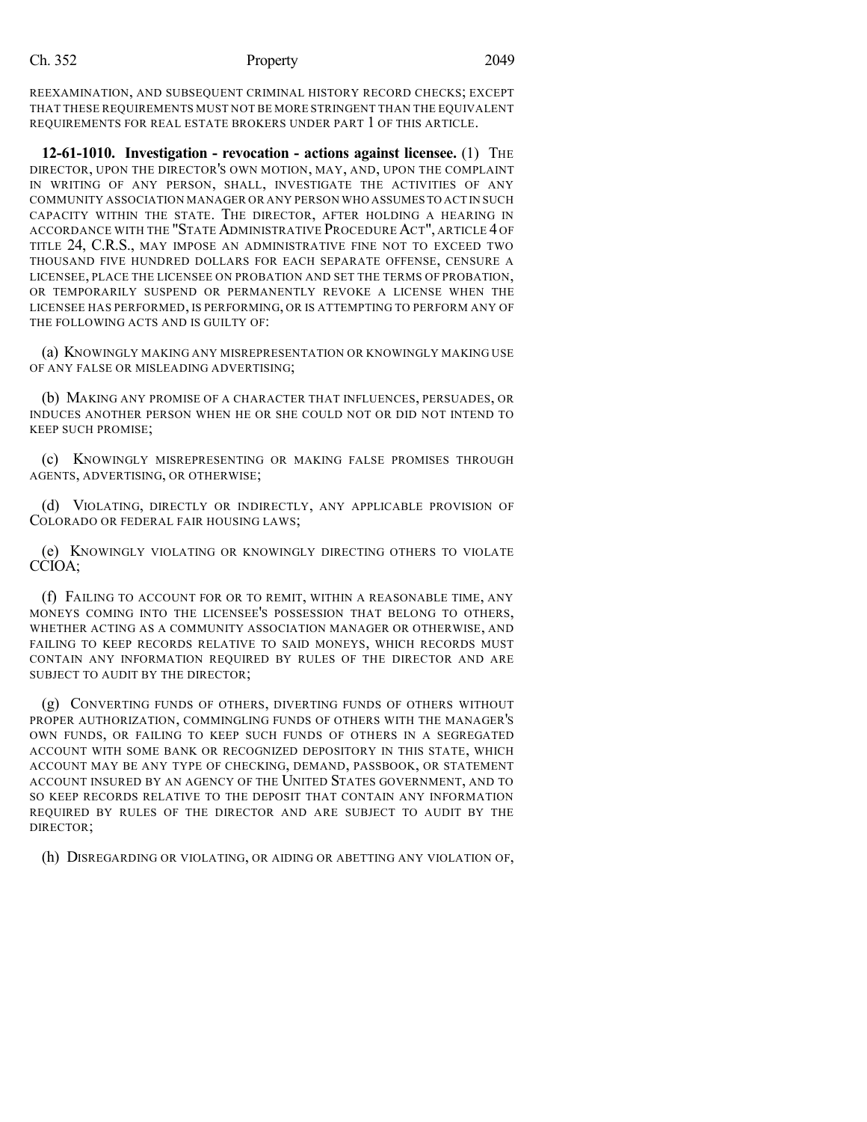REEXAMINATION, AND SUBSEQUENT CRIMINAL HISTORY RECORD CHECKS; EXCEPT THAT THESE REQUIREMENTS MUST NOT BE MORE STRINGENT THAN THE EQUIVALENT REQUIREMENTS FOR REAL ESTATE BROKERS UNDER PART 1 OF THIS ARTICLE.

**12-61-1010. Investigation - revocation - actions against licensee.** (1) THE DIRECTOR, UPON THE DIRECTOR'S OWN MOTION, MAY, AND, UPON THE COMPLAINT IN WRITING OF ANY PERSON, SHALL, INVESTIGATE THE ACTIVITIES OF ANY COMMUNITY ASSOCIATION MANAGER OR ANY PERSON WHO ASSUMESTO ACT IN SUCH CAPACITY WITHIN THE STATE. THE DIRECTOR, AFTER HOLDING A HEARING IN ACCORDANCE WITH THE "STATE ADMINISTRATIVE PROCEDURE ACT", ARTICLE 4 OF TITLE 24, C.R.S., MAY IMPOSE AN ADMINISTRATIVE FINE NOT TO EXCEED TWO THOUSAND FIVE HUNDRED DOLLARS FOR EACH SEPARATE OFFENSE, CENSURE A LICENSEE, PLACE THE LICENSEE ON PROBATION AND SET THE TERMS OF PROBATION, OR TEMPORARILY SUSPEND OR PERMANENTLY REVOKE A LICENSE WHEN THE LICENSEE HAS PERFORMED, IS PERFORMING, OR IS ATTEMPTING TO PERFORM ANY OF THE FOLLOWING ACTS AND IS GUILTY OF:

(a) KNOWINGLY MAKING ANY MISREPRESENTATION OR KNOWINGLY MAKING USE OF ANY FALSE OR MISLEADING ADVERTISING;

(b) MAKING ANY PROMISE OF A CHARACTER THAT INFLUENCES, PERSUADES, OR INDUCES ANOTHER PERSON WHEN HE OR SHE COULD NOT OR DID NOT INTEND TO KEEP SUCH PROMISE;

(c) KNOWINGLY MISREPRESENTING OR MAKING FALSE PROMISES THROUGH AGENTS, ADVERTISING, OR OTHERWISE;

(d) VIOLATING, DIRECTLY OR INDIRECTLY, ANY APPLICABLE PROVISION OF COLORADO OR FEDERAL FAIR HOUSING LAWS;

(e) KNOWINGLY VIOLATING OR KNOWINGLY DIRECTING OTHERS TO VIOLATE CCIOA;

(f) FAILING TO ACCOUNT FOR OR TO REMIT, WITHIN A REASONABLE TIME, ANY MONEYS COMING INTO THE LICENSEE'S POSSESSION THAT BELONG TO OTHERS, WHETHER ACTING AS A COMMUNITY ASSOCIATION MANAGER OR OTHERWISE, AND FAILING TO KEEP RECORDS RELATIVE TO SAID MONEYS, WHICH RECORDS MUST CONTAIN ANY INFORMATION REQUIRED BY RULES OF THE DIRECTOR AND ARE SUBJECT TO AUDIT BY THE DIRECTOR;

(g) CONVERTING FUNDS OF OTHERS, DIVERTING FUNDS OF OTHERS WITHOUT PROPER AUTHORIZATION, COMMINGLING FUNDS OF OTHERS WITH THE MANAGER'S OWN FUNDS, OR FAILING TO KEEP SUCH FUNDS OF OTHERS IN A SEGREGATED ACCOUNT WITH SOME BANK OR RECOGNIZED DEPOSITORY IN THIS STATE, WHICH ACCOUNT MAY BE ANY TYPE OF CHECKING, DEMAND, PASSBOOK, OR STATEMENT ACCOUNT INSURED BY AN AGENCY OF THE UNITED STATES GOVERNMENT, AND TO SO KEEP RECORDS RELATIVE TO THE DEPOSIT THAT CONTAIN ANY INFORMATION REQUIRED BY RULES OF THE DIRECTOR AND ARE SUBJECT TO AUDIT BY THE DIRECTOR;

(h) DISREGARDING OR VIOLATING, OR AIDING OR ABETTING ANY VIOLATION OF,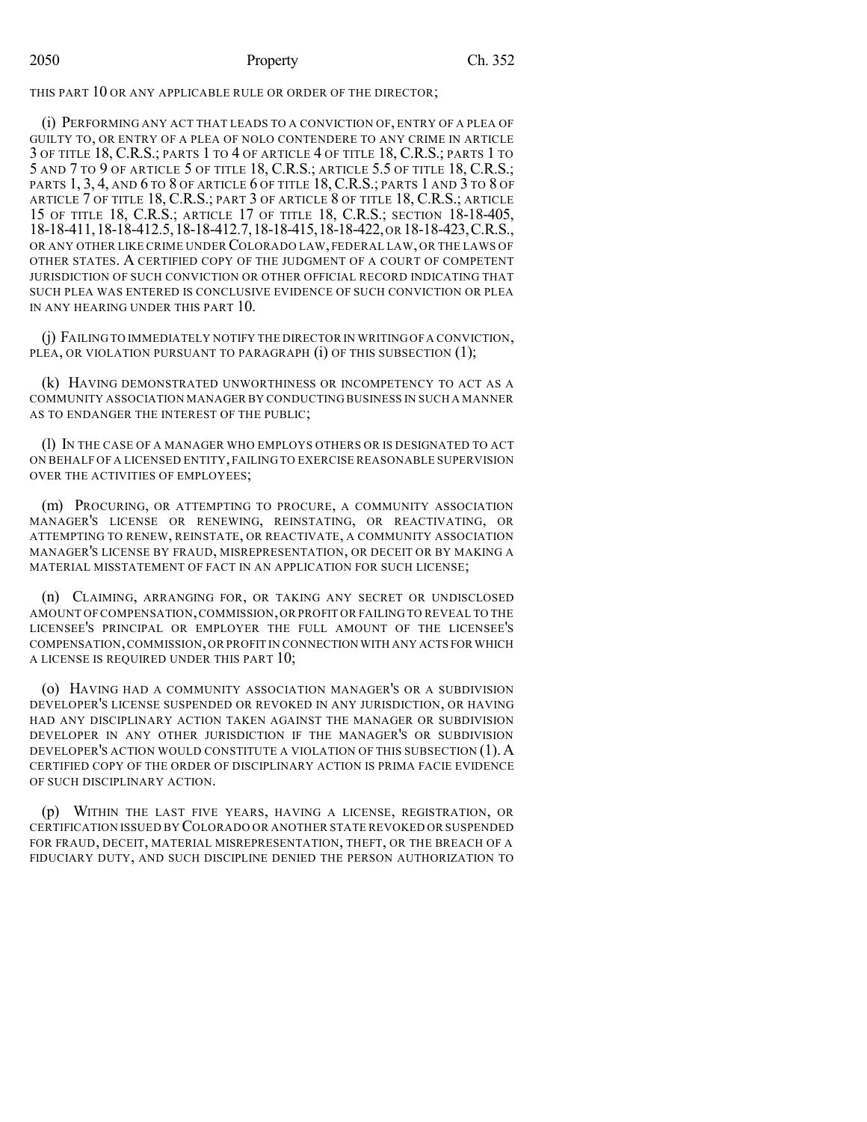# 2050 Property Ch. 352

THIS PART 10 OR ANY APPLICABLE RULE OR ORDER OF THE DIRECTOR;

(i) PERFORMING ANY ACT THAT LEADS TO A CONVICTION OF, ENTRY OF A PLEA OF GUILTY TO, OR ENTRY OF A PLEA OF NOLO CONTENDERE TO ANY CRIME IN ARTICLE 3 OF TITLE 18, C.R.S.; PARTS 1 TO 4 OF ARTICLE 4 OF TITLE 18, C.R.S.; PARTS 1 TO 5 AND 7 TO 9 OF ARTICLE 5 OF TITLE 18, C.R.S.; ARTICLE 5.5 OF TITLE 18, C.R.S.; PARTS 1, 3, 4, AND 6 TO 8 OF ARTICLE 6 OF TITLE 18, C.R.S.; PARTS 1 AND 3 TO 8 OF ARTICLE 7 OF TITLE 18, C.R.S.; PART 3 OF ARTICLE 8 OF TITLE 18, C.R.S.; ARTICLE 15 OF TITLE 18, C.R.S.; ARTICLE 17 OF TITLE 18, C.R.S.; SECTION 18-18-405, 18-18-411,18-18-412.5,18-18-412.7,18-18-415,18-18-422,OR 18-18-423,C.R.S., OR ANY OTHER LIKE CRIME UNDER COLORADO LAW, FEDERAL LAW, OR THE LAWS OF OTHER STATES. A CERTIFIED COPY OF THE JUDGMENT OF A COURT OF COMPETENT JURISDICTION OF SUCH CONVICTION OR OTHER OFFICIAL RECORD INDICATING THAT SUCH PLEA WAS ENTERED IS CONCLUSIVE EVIDENCE OF SUCH CONVICTION OR PLEA IN ANY HEARING UNDER THIS PART 10.

(j) FAILING TO IMMEDIATELY NOTIFY THE DIRECTOR IN WRITING OF A CONVICTION, PLEA, OR VIOLATION PURSUANT TO PARAGRAPH (i) OF THIS SUBSECTION (1);

(k) HAVING DEMONSTRATED UNWORTHINESS OR INCOMPETENCY TO ACT AS A COMMUNITY ASSOCIATION MANAGER BY CONDUCTING BUSINESS IN SUCH A MANNER AS TO ENDANGER THE INTEREST OF THE PUBLIC;

(l) IN THE CASE OF A MANAGER WHO EMPLOYS OTHERS OR IS DESIGNATED TO ACT ON BEHALF OF A LICENSED ENTITY, FAILING TO EXERCISE REASONABLE SUPERVISION OVER THE ACTIVITIES OF EMPLOYEES;

(m) PROCURING, OR ATTEMPTING TO PROCURE, A COMMUNITY ASSOCIATION MANAGER'S LICENSE OR RENEWING, REINSTATING, OR REACTIVATING, OR ATTEMPTING TO RENEW, REINSTATE, OR REACTIVATE, A COMMUNITY ASSOCIATION MANAGER'S LICENSE BY FRAUD, MISREPRESENTATION, OR DECEIT OR BY MAKING A MATERIAL MISSTATEMENT OF FACT IN AN APPLICATION FOR SUCH LICENSE;

(n) CLAIMING, ARRANGING FOR, OR TAKING ANY SECRET OR UNDISCLOSED AMOUNT OF COMPENSATION,COMMISSION,OR PROFIT OR FAILING TO REVEAL TO THE LICENSEE'S PRINCIPAL OR EMPLOYER THE FULL AMOUNT OF THE LICENSEE'S COMPENSATION,COMMISSION,OR PROFIT IN CONNECTION WITH ANY ACTS FOR WHICH A LICENSE IS REQUIRED UNDER THIS PART 10;

(o) HAVING HAD A COMMUNITY ASSOCIATION MANAGER'S OR A SUBDIVISION DEVELOPER'S LICENSE SUSPENDED OR REVOKED IN ANY JURISDICTION, OR HAVING HAD ANY DISCIPLINARY ACTION TAKEN AGAINST THE MANAGER OR SUBDIVISION DEVELOPER IN ANY OTHER JURISDICTION IF THE MANAGER'S OR SUBDIVISION DEVELOPER'S ACTION WOULD CONSTITUTE A VIOLATION OF THIS SUBSECTION (1).A CERTIFIED COPY OF THE ORDER OF DISCIPLINARY ACTION IS PRIMA FACIE EVIDENCE OF SUCH DISCIPLINARY ACTION.

(p) WITHIN THE LAST FIVE YEARS, HAVING A LICENSE, REGISTRATION, OR CERTIFICATION ISSUED BY COLORADO OR ANOTHER STATE REVOKED OR SUSPENDED FOR FRAUD, DECEIT, MATERIAL MISREPRESENTATION, THEFT, OR THE BREACH OF A FIDUCIARY DUTY, AND SUCH DISCIPLINE DENIED THE PERSON AUTHORIZATION TO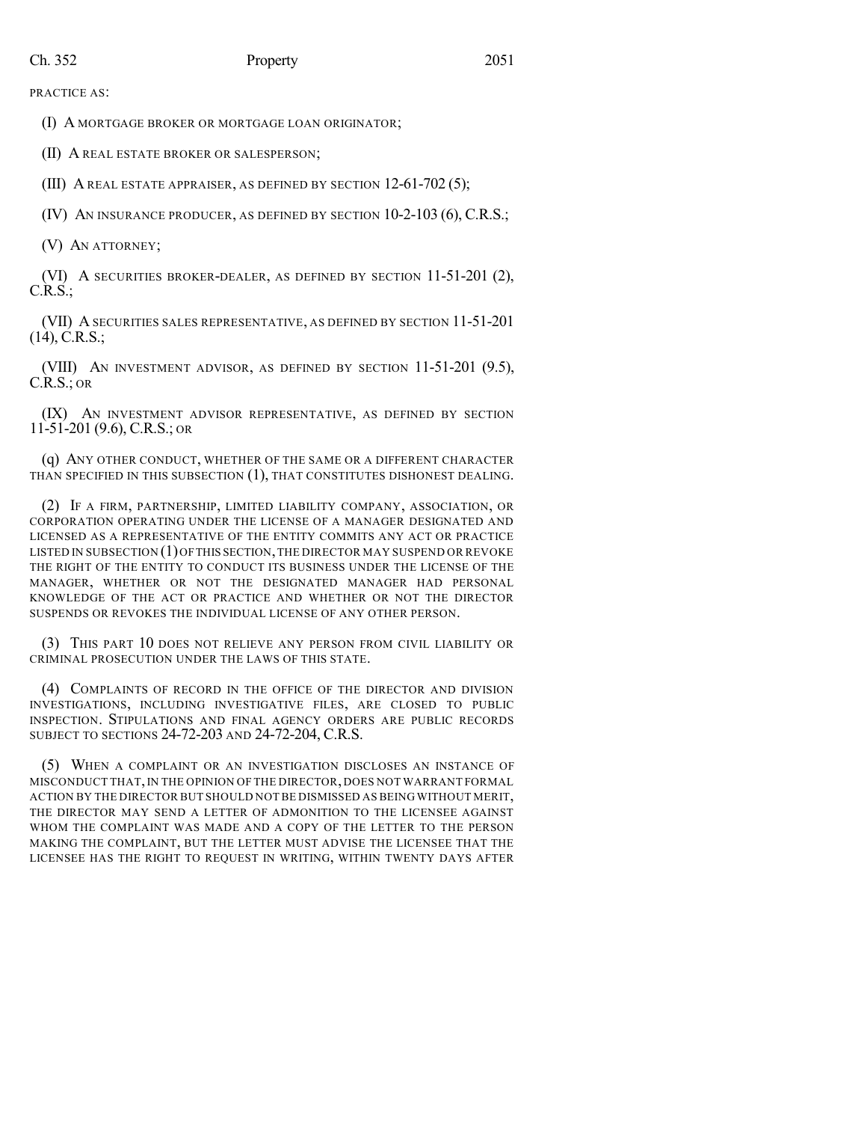PRACTICE AS:

(I) A MORTGAGE BROKER OR MORTGAGE LOAN ORIGINATOR;

(II) A REAL ESTATE BROKER OR SALESPERSON;

(III) A REAL ESTATE APPRAISER, AS DEFINED BY SECTION 12-61-702 (5);

(IV) AN INSURANCE PRODUCER, AS DEFINED BY SECTION 10-2-103 (6), C.R.S.;

(V) AN ATTORNEY;

(VI) A SECURITIES BROKER-DEALER, AS DEFINED BY SECTION 11-51-201 (2), C.R.S.;

(VII) A SECURITIES SALES REPRESENTATIVE, AS DEFINED BY SECTION 11-51-201 (14), C.R.S.;

(VIII) AN INVESTMENT ADVISOR, AS DEFINED BY SECTION 11-51-201 (9.5), C.R.S.; OR

(IX) AN INVESTMENT ADVISOR REPRESENTATIVE, AS DEFINED BY SECTION 11-51-201 (9.6), C.R.S.; OR

(q) ANY OTHER CONDUCT, WHETHER OF THE SAME OR A DIFFERENT CHARACTER THAN SPECIFIED IN THIS SUBSECTION (1), THAT CONSTITUTES DISHONEST DEALING.

(2) IF A FIRM, PARTNERSHIP, LIMITED LIABILITY COMPANY, ASSOCIATION, OR CORPORATION OPERATING UNDER THE LICENSE OF A MANAGER DESIGNATED AND LICENSED AS A REPRESENTATIVE OF THE ENTITY COMMITS ANY ACT OR PRACTICE LISTED IN SUBSECTION (1)OFTHIS SECTION,THE DIRECTOR MAY SUSPEND OR REVOKE THE RIGHT OF THE ENTITY TO CONDUCT ITS BUSINESS UNDER THE LICENSE OF THE MANAGER, WHETHER OR NOT THE DESIGNATED MANAGER HAD PERSONAL KNOWLEDGE OF THE ACT OR PRACTICE AND WHETHER OR NOT THE DIRECTOR SUSPENDS OR REVOKES THE INDIVIDUAL LICENSE OF ANY OTHER PERSON.

(3) THIS PART 10 DOES NOT RELIEVE ANY PERSON FROM CIVIL LIABILITY OR CRIMINAL PROSECUTION UNDER THE LAWS OF THIS STATE.

(4) COMPLAINTS OF RECORD IN THE OFFICE OF THE DIRECTOR AND DIVISION INVESTIGATIONS, INCLUDING INVESTIGATIVE FILES, ARE CLOSED TO PUBLIC INSPECTION. STIPULATIONS AND FINAL AGENCY ORDERS ARE PUBLIC RECORDS SUBJECT TO SECTIONS 24-72-203 AND 24-72-204, C.R.S.

(5) WHEN A COMPLAINT OR AN INVESTIGATION DISCLOSES AN INSTANCE OF MISCONDUCT THAT,IN THE OPINION OF THE DIRECTOR, DOES NOT WARRANT FORMAL ACTION BY THE DIRECTOR BUT SHOULD NOT BE DISMISSED AS BEING WITHOUT MERIT, THE DIRECTOR MAY SEND A LETTER OF ADMONITION TO THE LICENSEE AGAINST WHOM THE COMPLAINT WAS MADE AND A COPY OF THE LETTER TO THE PERSON MAKING THE COMPLAINT, BUT THE LETTER MUST ADVISE THE LICENSEE THAT THE LICENSEE HAS THE RIGHT TO REQUEST IN WRITING, WITHIN TWENTY DAYS AFTER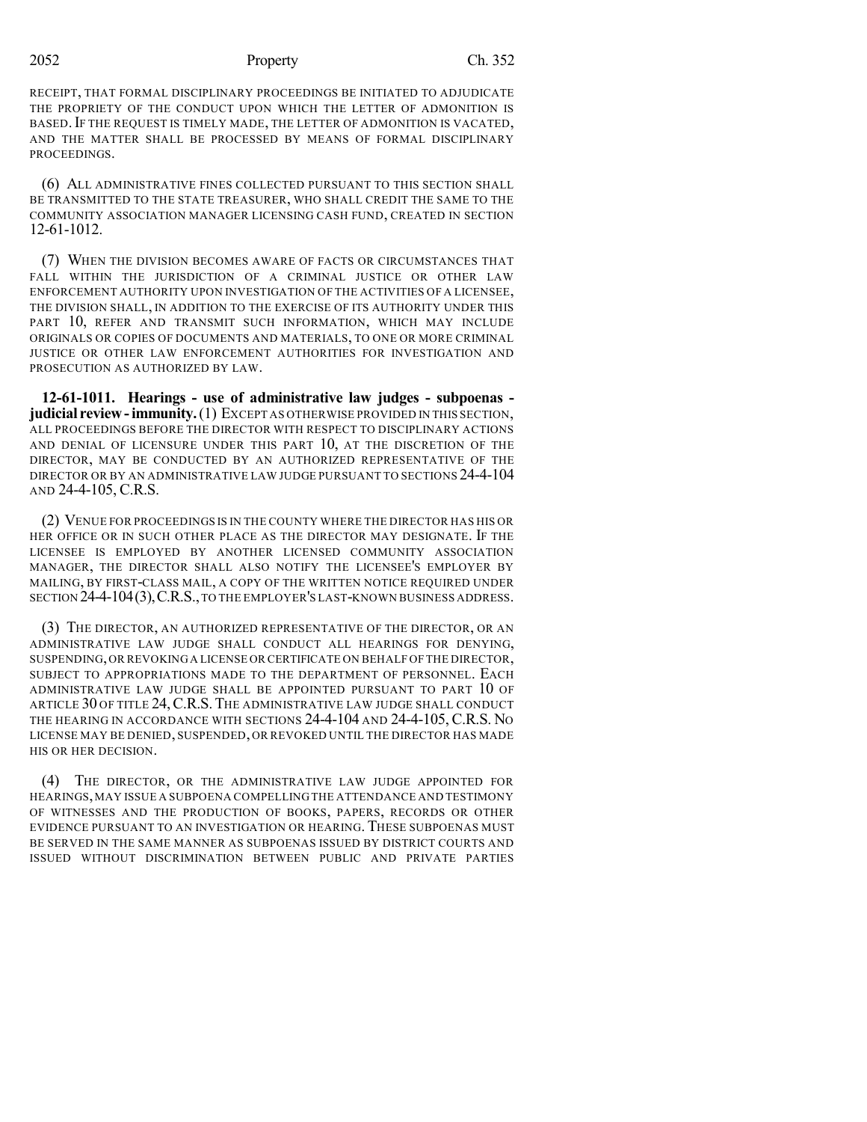2052 Property Ch. 352

RECEIPT, THAT FORMAL DISCIPLINARY PROCEEDINGS BE INITIATED TO ADJUDICATE THE PROPRIETY OF THE CONDUCT UPON WHICH THE LETTER OF ADMONITION IS BASED. IF THE REQUEST IS TIMELY MADE, THE LETTER OF ADMONITION IS VACATED, AND THE MATTER SHALL BE PROCESSED BY MEANS OF FORMAL DISCIPLINARY PROCEEDINGS.

(6) ALL ADMINISTRATIVE FINES COLLECTED PURSUANT TO THIS SECTION SHALL BE TRANSMITTED TO THE STATE TREASURER, WHO SHALL CREDIT THE SAME TO THE COMMUNITY ASSOCIATION MANAGER LICENSING CASH FUND, CREATED IN SECTION 12-61-1012.

(7) WHEN THE DIVISION BECOMES AWARE OF FACTS OR CIRCUMSTANCES THAT FALL WITHIN THE JURISDICTION OF A CRIMINAL JUSTICE OR OTHER LAW ENFORCEMENT AUTHORITY UPON INVESTIGATION OF THE ACTIVITIES OF A LICENSEE, THE DIVISION SHALL, IN ADDITION TO THE EXERCISE OF ITS AUTHORITY UNDER THIS PART 10, REFER AND TRANSMIT SUCH INFORMATION, WHICH MAY INCLUDE ORIGINALS OR COPIES OF DOCUMENTS AND MATERIALS, TO ONE OR MORE CRIMINAL JUSTICE OR OTHER LAW ENFORCEMENT AUTHORITIES FOR INVESTIGATION AND PROSECUTION AS AUTHORIZED BY LAW.

**12-61-1011. Hearings - use of administrative law judges - subpoenas judicial review-immunity.**(1) EXCEPT AS OTHERWISE PROVIDED IN THIS SECTION, ALL PROCEEDINGS BEFORE THE DIRECTOR WITH RESPECT TO DISCIPLINARY ACTIONS AND DENIAL OF LICENSURE UNDER THIS PART 10, AT THE DISCRETION OF THE DIRECTOR, MAY BE CONDUCTED BY AN AUTHORIZED REPRESENTATIVE OF THE DIRECTOR OR BY AN ADMINISTRATIVE LAW JUDGE PURSUANT TO SECTIONS 24-4-104 AND 24-4-105, C.R.S.

(2) VENUE FOR PROCEEDINGS IS IN THE COUNTY WHERE THE DIRECTOR HAS HIS OR HER OFFICE OR IN SUCH OTHER PLACE AS THE DIRECTOR MAY DESIGNATE. IF THE LICENSEE IS EMPLOYED BY ANOTHER LICENSED COMMUNITY ASSOCIATION MANAGER, THE DIRECTOR SHALL ALSO NOTIFY THE LICENSEE'S EMPLOYER BY MAILING, BY FIRST-CLASS MAIL, A COPY OF THE WRITTEN NOTICE REQUIRED UNDER SECTION 24-4-104(3),C.R.S.,TO THE EMPLOYER'S LAST-KNOWN BUSINESS ADDRESS.

(3) THE DIRECTOR, AN AUTHORIZED REPRESENTATIVE OF THE DIRECTOR, OR AN ADMINISTRATIVE LAW JUDGE SHALL CONDUCT ALL HEARINGS FOR DENYING, SUSPENDING,OR REVOKING A LICENSE OR CERTIFICATE ON BEHALF OF THE DIRECTOR, SUBJECT TO APPROPRIATIONS MADE TO THE DEPARTMENT OF PERSONNEL. EACH ADMINISTRATIVE LAW JUDGE SHALL BE APPOINTED PURSUANT TO PART 10 OF ARTICLE 30 OF TITLE 24, C.R.S. THE ADMINISTRATIVE LAW JUDGE SHALL CONDUCT THE HEARING IN ACCORDANCE WITH SECTIONS 24-4-104 AND 24-4-105, C.R.S. No LICENSE MAY BE DENIED, SUSPENDED, OR REVOKED UNTIL THE DIRECTOR HAS MADE HIS OR HER DECISION.

(4) THE DIRECTOR, OR THE ADMINISTRATIVE LAW JUDGE APPOINTED FOR HEARINGS,MAY ISSUE A SUBPOENA COMPELLING THE ATTENDANCE AND TESTIMONY OF WITNESSES AND THE PRODUCTION OF BOOKS, PAPERS, RECORDS OR OTHER EVIDENCE PURSUANT TO AN INVESTIGATION OR HEARING. THESE SUBPOENAS MUST BE SERVED IN THE SAME MANNER AS SUBPOENAS ISSUED BY DISTRICT COURTS AND ISSUED WITHOUT DISCRIMINATION BETWEEN PUBLIC AND PRIVATE PARTIES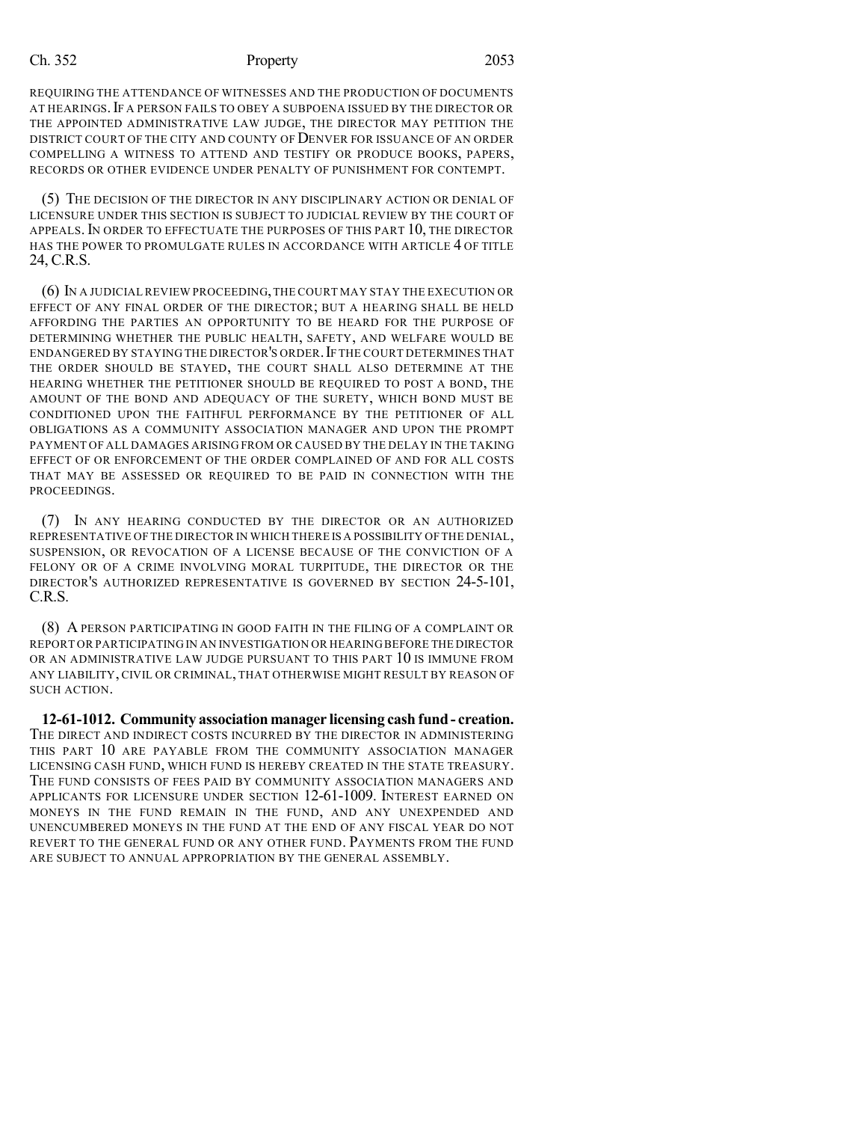REQUIRING THE ATTENDANCE OF WITNESSES AND THE PRODUCTION OF DOCUMENTS AT HEARINGS.IF A PERSON FAILS TO OBEY A SUBPOENA ISSUED BY THE DIRECTOR OR THE APPOINTED ADMINISTRATIVE LAW JUDGE, THE DIRECTOR MAY PETITION THE DISTRICT COURT OF THE CITY AND COUNTY OF DENVER FOR ISSUANCE OF AN ORDER COMPELLING A WITNESS TO ATTEND AND TESTIFY OR PRODUCE BOOKS, PAPERS, RECORDS OR OTHER EVIDENCE UNDER PENALTY OF PUNISHMENT FOR CONTEMPT.

(5) THE DECISION OF THE DIRECTOR IN ANY DISCIPLINARY ACTION OR DENIAL OF LICENSURE UNDER THIS SECTION IS SUBJECT TO JUDICIAL REVIEW BY THE COURT OF APPEALS. IN ORDER TO EFFECTUATE THE PURPOSES OF THIS PART 10, THE DIRECTOR HAS THE POWER TO PROMULGATE RULES IN ACCORDANCE WITH ARTICLE 4 OF TITLE 24, C.R.S.

(6) IN A JUDICIAL REVIEW PROCEEDING,THE COURT MAY STAY THE EXECUTION OR EFFECT OF ANY FINAL ORDER OF THE DIRECTOR; BUT A HEARING SHALL BE HELD AFFORDING THE PARTIES AN OPPORTUNITY TO BE HEARD FOR THE PURPOSE OF DETERMINING WHETHER THE PUBLIC HEALTH, SAFETY, AND WELFARE WOULD BE ENDANGERED BY STAYING THE DIRECTOR'S ORDER.IF THE COURT DETERMINES THAT THE ORDER SHOULD BE STAYED, THE COURT SHALL ALSO DETERMINE AT THE HEARING WHETHER THE PETITIONER SHOULD BE REQUIRED TO POST A BOND, THE AMOUNT OF THE BOND AND ADEQUACY OF THE SURETY, WHICH BOND MUST BE CONDITIONED UPON THE FAITHFUL PERFORMANCE BY THE PETITIONER OF ALL OBLIGATIONS AS A COMMUNITY ASSOCIATION MANAGER AND UPON THE PROMPT PAYMENT OF ALL DAMAGES ARISING FROM OR CAUSED BY THE DELAY IN THE TAKING EFFECT OF OR ENFORCEMENT OF THE ORDER COMPLAINED OF AND FOR ALL COSTS THAT MAY BE ASSESSED OR REQUIRED TO BE PAID IN CONNECTION WITH THE PROCEEDINGS.

(7) IN ANY HEARING CONDUCTED BY THE DIRECTOR OR AN AUTHORIZED REPRESENTATIVE OF THE DIRECTOR IN WHICH THERE IS A POSSIBILITY OF THE DENIAL, SUSPENSION, OR REVOCATION OF A LICENSE BECAUSE OF THE CONVICTION OF A FELONY OR OF A CRIME INVOLVING MORAL TURPITUDE, THE DIRECTOR OR THE DIRECTOR'S AUTHORIZED REPRESENTATIVE IS GOVERNED BY SECTION 24-5-101, C.R.S.

(8) A PERSON PARTICIPATING IN GOOD FAITH IN THE FILING OF A COMPLAINT OR REPORT OR PARTICIPATING IN AN INVESTIGATION OR HEARING BEFORE THE DIRECTOR OR AN ADMINISTRATIVE LAW JUDGE PURSUANT TO THIS PART 10 IS IMMUNE FROM ANY LIABILITY, CIVIL OR CRIMINAL, THAT OTHERWISE MIGHT RESULT BY REASON OF SUCH ACTION.

**12-61-1012. Community association manager licensing cash fund- creation.** THE DIRECT AND INDIRECT COSTS INCURRED BY THE DIRECTOR IN ADMINISTERING THIS PART 10 ARE PAYABLE FROM THE COMMUNITY ASSOCIATION MANAGER LICENSING CASH FUND, WHICH FUND IS HEREBY CREATED IN THE STATE TREASURY. THE FUND CONSISTS OF FEES PAID BY COMMUNITY ASSOCIATION MANAGERS AND APPLICANTS FOR LICENSURE UNDER SECTION 12-61-1009. INTEREST EARNED ON MONEYS IN THE FUND REMAIN IN THE FUND, AND ANY UNEXPENDED AND UNENCUMBERED MONEYS IN THE FUND AT THE END OF ANY FISCAL YEAR DO NOT REVERT TO THE GENERAL FUND OR ANY OTHER FUND. PAYMENTS FROM THE FUND ARE SUBJECT TO ANNUAL APPROPRIATION BY THE GENERAL ASSEMBLY.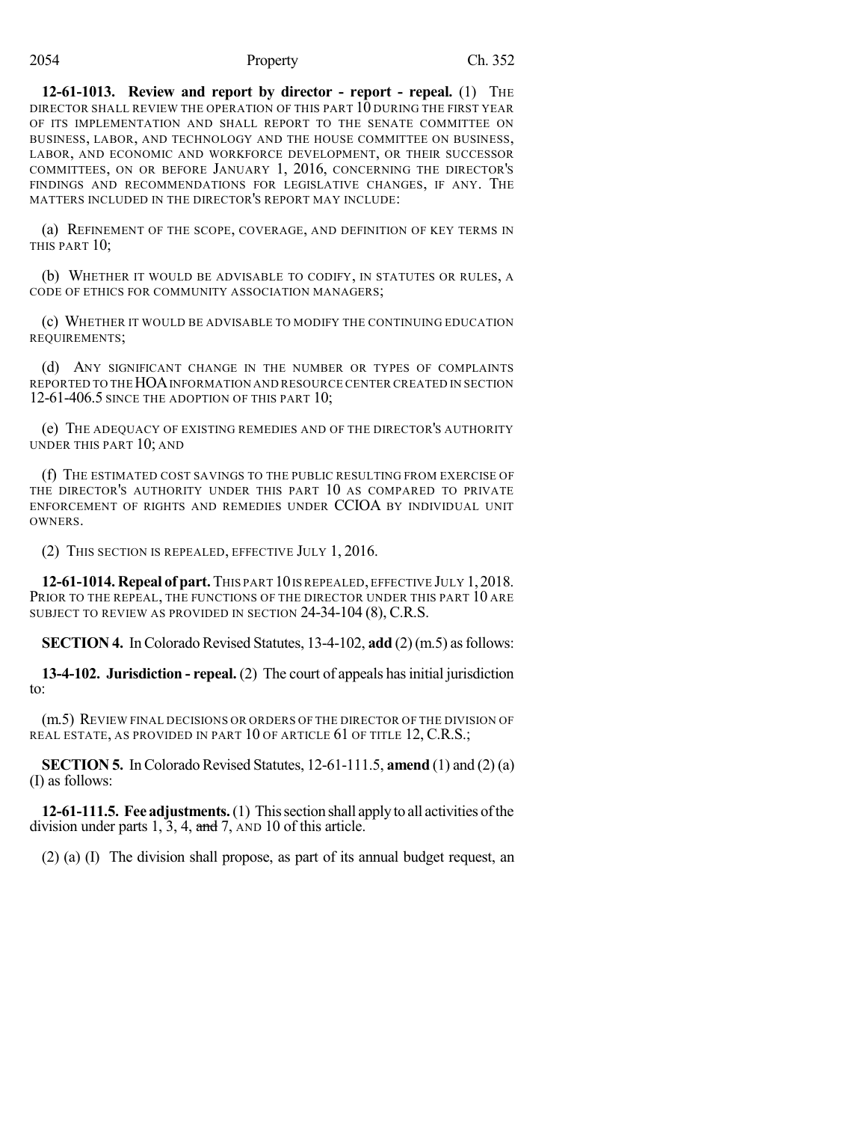**12-61-1013. Review and report by director - report - repeal.** (1) THE DIRECTOR SHALL REVIEW THE OPERATION OF THIS PART 10 DURING THE FIRST YEAR OF ITS IMPLEMENTATION AND SHALL REPORT TO THE SENATE COMMITTEE ON BUSINESS, LABOR, AND TECHNOLOGY AND THE HOUSE COMMITTEE ON BUSINESS, LABOR, AND ECONOMIC AND WORKFORCE DEVELOPMENT, OR THEIR SUCCESSOR COMMITTEES, ON OR BEFORE JANUARY 1, 2016, CONCERNING THE DIRECTOR'S FINDINGS AND RECOMMENDATIONS FOR LEGISLATIVE CHANGES, IF ANY. THE MATTERS INCLUDED IN THE DIRECTOR'S REPORT MAY INCLUDE:

(a) REFINEMENT OF THE SCOPE, COVERAGE, AND DEFINITION OF KEY TERMS IN THIS PART 10;

(b) WHETHER IT WOULD BE ADVISABLE TO CODIFY, IN STATUTES OR RULES, A CODE OF ETHICS FOR COMMUNITY ASSOCIATION MANAGERS;

(c) WHETHER IT WOULD BE ADVISABLE TO MODIFY THE CONTINUING EDUCATION REQUIREMENTS;

(d) ANY SIGNIFICANT CHANGE IN THE NUMBER OR TYPES OF COMPLAINTS REPORTED TO THE HOA INFORMATION AND RESOURCE CENTER CREATED IN SECTION 12-61-406.5 SINCE THE ADOPTION OF THIS PART 10;

(e) THE ADEQUACY OF EXISTING REMEDIES AND OF THE DIRECTOR'S AUTHORITY UNDER THIS PART 10; AND

(f) THE ESTIMATED COST SAVINGS TO THE PUBLIC RESULTING FROM EXERCISE OF THE DIRECTOR'S AUTHORITY UNDER THIS PART 10 AS COMPARED TO PRIVATE ENFORCEMENT OF RIGHTS AND REMEDIES UNDER CCIOA BY INDIVIDUAL UNIT **OWNERS** 

(2) THIS SECTION IS REPEALED, EFFECTIVE JULY 1, 2016.

**12-61-1014. Repeal of part.**THIS PART 10IS REPEALED, EFFECTIVE JULY 1,2018. PRIOR TO THE REPEAL, THE FUNCTIONS OF THE DIRECTOR UNDER THIS PART 10 ARE SUBJECT TO REVIEW AS PROVIDED IN SECTION 24-34-104 (8), C.R.S.

**SECTION 4.** In Colorado Revised Statutes,  $13-4-102$ , **add**  $(2)(m.5)$  as follows:

**13-4-102. Jurisdiction - repeal.** (2) The court of appeals hasinitial jurisdiction to:

(m.5) REVIEW FINAL DECISIONS OR ORDERS OF THE DIRECTOR OF THE DIVISION OF REAL ESTATE, AS PROVIDED IN PART 10 OF ARTICLE 61 OF TITLE 12, C.R.S.;

**SECTION 5.** In Colorado Revised Statutes, 12-61-111.5, **amend** (1) and (2) (a) (I) as follows:

**12-61-111.5. Fee adjustments.**(1) Thissection shall applyto all activities ofthe division under parts 1, 3, 4, and 7, AND 10 of this article.

(2) (a) (I) The division shall propose, as part of its annual budget request, an